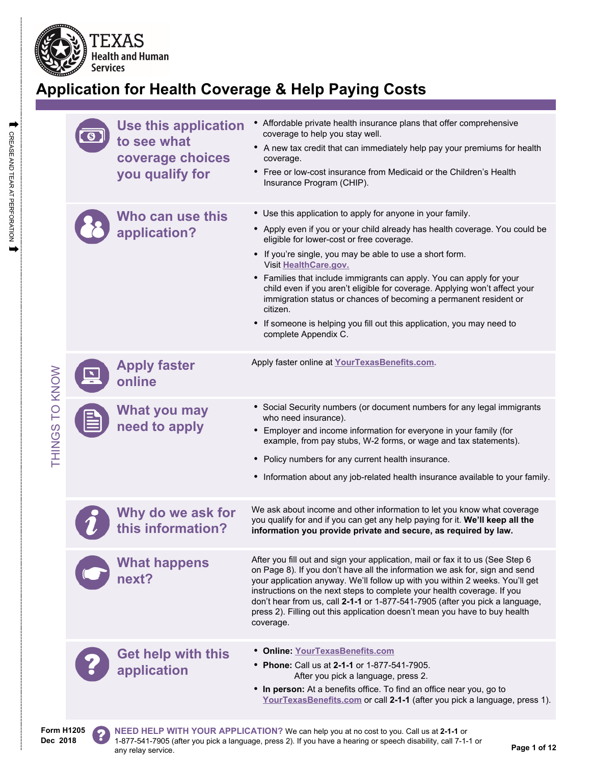

# **Application for Health Coverage & Help Paying Costs**

| TO KNOW<br><b>THINGS</b> | <b>Use this application</b><br>to see what<br>coverage choices<br>you qualify for | • Affordable private health insurance plans that offer comprehensive<br>coverage to help you stay well.<br>• A new tax credit that can immediately help pay your premiums for health<br>coverage.<br>• Free or low-cost insurance from Medicaid or the Children's Health<br>Insurance Program (CHIP).                                                                                                                                                                                                                                                                                                                |
|--------------------------|-----------------------------------------------------------------------------------|----------------------------------------------------------------------------------------------------------------------------------------------------------------------------------------------------------------------------------------------------------------------------------------------------------------------------------------------------------------------------------------------------------------------------------------------------------------------------------------------------------------------------------------------------------------------------------------------------------------------|
|                          | Who can use this<br>application?                                                  | • Use this application to apply for anyone in your family.<br>• Apply even if you or your child already has health coverage. You could be<br>eligible for lower-cost or free coverage.<br>• If you're single, you may be able to use a short form.<br>Visit HealthCare.gov.<br>• Families that include immigrants can apply. You can apply for your<br>child even if you aren't eligible for coverage. Applying won't affect your<br>immigration status or chances of becoming a permanent resident or<br>citizen.<br>• If someone is helping you fill out this application, you may need to<br>complete Appendix C. |
|                          | <b>Apply faster</b><br>online                                                     | Apply faster online at YourTexasBenefits.com.                                                                                                                                                                                                                                                                                                                                                                                                                                                                                                                                                                        |
|                          | <b>What you may</b><br>need to apply                                              | • Social Security numbers (or document numbers for any legal immigrants<br>who need insurance).<br>• Employer and income information for everyone in your family (for<br>example, from pay stubs, W-2 forms, or wage and tax statements).<br>• Policy numbers for any current health insurance.<br>• Information about any job-related health insurance available to your family.                                                                                                                                                                                                                                    |
|                          | Why do we ask for<br>this information?                                            | We ask about income and other information to let you know what coverage<br>you qualify for and if you can get any help paying for it. We'll keep all the<br>information you provide private and secure, as required by law.                                                                                                                                                                                                                                                                                                                                                                                          |
|                          | <b>What happens</b><br>next?                                                      | After you fill out and sign your application, mail or fax it to us (See Step 6<br>on Page 8). If you don't have all the information we ask for, sign and send<br>your application anyway. We'll follow up with you within 2 weeks. You'll get<br>instructions on the next steps to complete your health coverage. If you<br>don't hear from us, call 2-1-1 or 1-877-541-7905 (after you pick a language,<br>press 2). Filling out this application doesn't mean you have to buy health<br>coverage.                                                                                                                  |
|                          | <b>Get help with this</b><br>application                                          | • Online: YourTexasBenefits.com<br>• Phone: Call us at 2-1-1 or 1-877-541-7905.<br>After you pick a language, press 2.<br>• In person: At a benefits office. To find an office near you, go to<br>YourTexasBenefits.com or call 2-1-1 (after you pick a language, press 1).                                                                                                                                                                                                                                                                                                                                          |

 $\Rightarrow$ 

**Form H1205 Dec 2018**

?

**NEED HELP WITH YOUR APPLICATION?** We can help you at no cost to you. Call us at **2-1-1** or 1-877-541-7905 (after you pick a language, press 2). If you have a hearing or speech disability, call 7-1-1 or any relay service. **Page 1 of 12**<br>any relay service.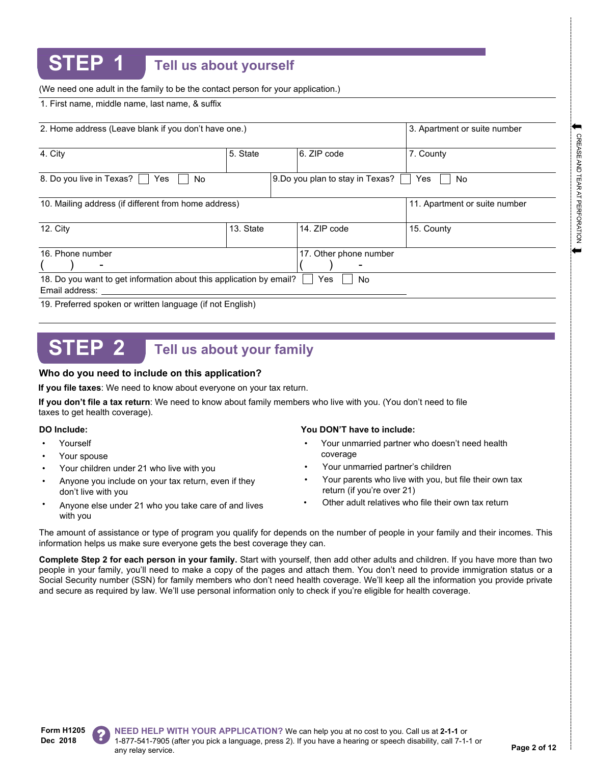## **STEP 1 Tell us about yourself**

(We need one adult in the family to be the contact person for your application.)

1. First name, middle name, last name, & suffix

| 2. Home address (Leave blank if you don't have one.)                                  | 3. Apartment or suite number |                                  |                               |
|---------------------------------------------------------------------------------------|------------------------------|----------------------------------|-------------------------------|
| 4. City                                                                               | 5. State                     | 6. ZIP code                      | 7. County                     |
| 8. Do you live in Texas?<br>Yes<br>No.                                                |                              | 9. Do you plan to stay in Texas? | Yes.<br>No                    |
| 10. Mailing address (if different from home address)                                  |                              |                                  | 11. Apartment or suite number |
| 12. $City$                                                                            | 13. State                    | 14. ZIP code                     | 15. County                    |
| 16. Phone number                                                                      |                              | 17. Other phone number           |                               |
| 18. Do you want to get information about this application by email?<br>Email address: |                              | Yes<br>No.                       |                               |
| 19. Preferred spoken or written language (if not English)                             |                              |                                  |                               |

# **STEP 2 Tell us about your family**

### **Who do you need to include on this application?**

**If you file taxes**: We need to know about everyone on your tax return.

**If you don't file a tax return**: We need to know about family members who live with you. (You don't need to file taxes to get health coverage).

- **Yourself**
- Your spouse
- Your children under 21 who live with you
- Anyone you include on your tax return, even if they don't live with you •
- Anyone else under 21 who you take care of and lives with you •

### **DO Include: You DON'T have to include:**

- Your unmarried partner who doesn't need health coverage •
- Your unmarried partner's children
- Your parents who live with you, but file their own tax return (if you're over 21)
- Other adult relatives who file their own tax return

The amount of assistance or type of program you qualify for depends on the number of people in your family and their incomes. This information helps us make sure everyone gets the best coverage they can.

**Complete Step 2 for each person in your family.** Start with yourself, then add other adults and children. If you have more than two people in your family, you'll need to make a copy of the pages and attach them. You don't need to provide immigration status or a Social Security number (SSN) for family members who don't need health coverage. We'll keep all the information you provide private and secure as required by law. We'll use personal information only to check if you're eligible for health coverage.

**CREASE AND TEAR AT PERFORATION** 

**Form H1205 Dec 2018**



**NEED HELP WITH YOUR APPLICATION?** We can help you at no cost to you. Call us at **2-1-1** or 1-877-541-7905 (after you pick a language, press 2). If you have a hearing or speech disability, call 7-1-1 or any relay service. **Page 2 of 12**<br>any relay service.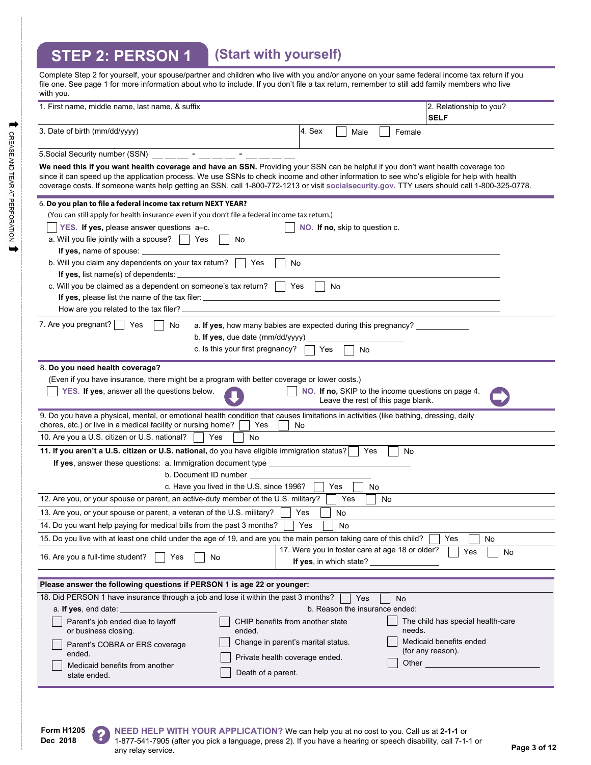# **STEP 2: PERSON 1 (Start with yourself)**

| Complete Step 2 for yourself, your spouse/partner and children who live with you and/or anyone on your same federal income tax return if you<br>file one. See page 1 for more information about who to include. If you don't file a tax return, remember to still add family members who live<br>with you.                                                                                                                       |                                                                                     |      |    |        |                                                    |
|----------------------------------------------------------------------------------------------------------------------------------------------------------------------------------------------------------------------------------------------------------------------------------------------------------------------------------------------------------------------------------------------------------------------------------|-------------------------------------------------------------------------------------|------|----|--------|----------------------------------------------------|
| 1. First name, middle name, last name, & suffix                                                                                                                                                                                                                                                                                                                                                                                  |                                                                                     |      |    |        | 2. Relationship to you?<br><b>SELF</b>             |
| 3. Date of birth (mm/dd/yyyy)                                                                                                                                                                                                                                                                                                                                                                                                    | 4. Sex                                                                              | Male |    | Female |                                                    |
|                                                                                                                                                                                                                                                                                                                                                                                                                                  |                                                                                     |      |    |        |                                                    |
| We need this if you want health coverage and have an SSN. Providing your SSN can be helpful if you don't want health coverage too<br>since it can speed up the application process. We use SSNs to check income and other information to see who's eligible for help with health<br>coverage costs. If someone wants help getting an SSN, call 1-800-772-1213 or visit socialsecurity.gov. TTY users should call 1-800-325-0778. |                                                                                     |      |    |        |                                                    |
| 6. Do you plan to file a federal income tax return NEXT YEAR?                                                                                                                                                                                                                                                                                                                                                                    |                                                                                     |      |    |        |                                                    |
| (You can still apply for health insurance even if you don't file a federal income tax return.)                                                                                                                                                                                                                                                                                                                                   |                                                                                     |      |    |        |                                                    |
| YES. If yes, please answer questions a-c.                                                                                                                                                                                                                                                                                                                                                                                        | NO. If no, skip to question c.                                                      |      |    |        |                                                    |
| a. Will you file jointly with a spouse? $\vert \vert$ Yes<br>No                                                                                                                                                                                                                                                                                                                                                                  |                                                                                     |      |    |        |                                                    |
| If yes, name of spouse:                                                                                                                                                                                                                                                                                                                                                                                                          |                                                                                     |      |    |        |                                                    |
| b. Will you claim any dependents on your tax return?  <br>l Yes<br><b>No</b><br>If yes, list name(s) of dependents:                                                                                                                                                                                                                                                                                                              |                                                                                     |      |    |        |                                                    |
| c. Will you be claimed as a dependent on someone's tax return?<br>Yes                                                                                                                                                                                                                                                                                                                                                            | No                                                                                  |      |    |        |                                                    |
| If yes, please list the name of the tax filer:                                                                                                                                                                                                                                                                                                                                                                                   |                                                                                     |      |    |        |                                                    |
| How are you related to the tax filer?                                                                                                                                                                                                                                                                                                                                                                                            |                                                                                     |      |    |        |                                                    |
| 7. Are you pregnant? $ $<br>Yes<br>a. If yes, how many babies are expected during this pregnancy?<br>No                                                                                                                                                                                                                                                                                                                          |                                                                                     |      |    |        |                                                    |
| b. If yes, due date $(mm/dd/yyyy)$                                                                                                                                                                                                                                                                                                                                                                                               |                                                                                     |      |    |        |                                                    |
| c. Is this your first pregnancy?                                                                                                                                                                                                                                                                                                                                                                                                 | Yes                                                                                 | No   |    |        |                                                    |
| 8. Do you need health coverage?                                                                                                                                                                                                                                                                                                                                                                                                  |                                                                                     |      |    |        |                                                    |
| (Even if you have insurance, there might be a program with better coverage or lower costs.)                                                                                                                                                                                                                                                                                                                                      |                                                                                     |      |    |        |                                                    |
| YES. If yes, answer all the questions below.                                                                                                                                                                                                                                                                                                                                                                                     | Leave the rest of this page blank.                                                  |      |    |        | NO. If no, SKIP to the income questions on page 4. |
| 9. Do you have a physical, mental, or emotional health condition that causes limitations in activities (like bathing, dressing, daily<br>chores, etc.) or live in a medical facility or nursing home?<br>Yes                                                                                                                                                                                                                     | No.                                                                                 |      |    |        |                                                    |
| 10. Are you a U.S. citizen or U.S. national?<br>Yes<br>No                                                                                                                                                                                                                                                                                                                                                                        |                                                                                     |      |    |        |                                                    |
| 11. If you aren't a U.S. citizen or U.S. national, do you have eligible immigration status?                                                                                                                                                                                                                                                                                                                                      |                                                                                     | Yes  |    | No     |                                                    |
| If yes, answer these questions: a. Immigration document type __________________<br>b. Document ID number                                                                                                                                                                                                                                                                                                                         |                                                                                     |      |    |        |                                                    |
| c. Have you lived in the U.S. since 1996?                                                                                                                                                                                                                                                                                                                                                                                        | Yes                                                                                 | No   |    |        |                                                    |
| 12. Are you, or your spouse or parent, an active-duty member of the U.S. military?                                                                                                                                                                                                                                                                                                                                               |                                                                                     | Yes  | No |        |                                                    |
| 13. Are you, or your spouse or parent, a veteran of the U.S. military?                                                                                                                                                                                                                                                                                                                                                           | Yes<br>No                                                                           |      |    |        |                                                    |
| 14. Do you want help paying for medical bills from the past 3 months?                                                                                                                                                                                                                                                                                                                                                            | Yes<br>No                                                                           |      |    |        |                                                    |
| 15. Do you live with at least one child under the age of 19, and are you the main person taking care of this child?                                                                                                                                                                                                                                                                                                              |                                                                                     |      |    |        | Yes<br>No                                          |
| Yes<br>16. Are you a full-time student?<br>No                                                                                                                                                                                                                                                                                                                                                                                    | 17. Were you in foster care at age 18 or older?<br>If yes, in which state? ________ |      |    |        | Yes<br>No                                          |
| Please answer the following questions if PERSON 1 is age 22 or younger:                                                                                                                                                                                                                                                                                                                                                          |                                                                                     |      |    |        |                                                    |
| 18. Did PERSON 1 have insurance through a job and lose it within the past 3 months?                                                                                                                                                                                                                                                                                                                                              |                                                                                     | Yes  |    | No     |                                                    |
| a. If yes, end date:                                                                                                                                                                                                                                                                                                                                                                                                             | b. Reason the insurance ended:                                                      |      |    |        |                                                    |
| Parent's job ended due to layoff<br>CHIP benefits from another state<br>or business closing.<br>ended.                                                                                                                                                                                                                                                                                                                           |                                                                                     |      |    | needs. | The child has special health-care                  |
| Change in parent's marital status.<br>Parent's COBRA or ERS coverage<br>ended.<br>Private health coverage ended.<br>Medicaid benefits from another                                                                                                                                                                                                                                                                               |                                                                                     |      |    |        | Medicaid benefits ended<br>(for any reason).       |
| Death of a parent.<br>state ended.                                                                                                                                                                                                                                                                                                                                                                                               |                                                                                     |      |    |        |                                                    |

**Form H1205 Dec 2018**

?

**NEED HELP WITH YOUR APPLICATION?** We can help you at no cost to you. Call us at **2-1-1** or 1-877-541-7905 (after you pick a language, press 2). If you have a hearing or speech disability, call 7-1-1 or any relay service. **Page 3 of 12**<br>any relay service.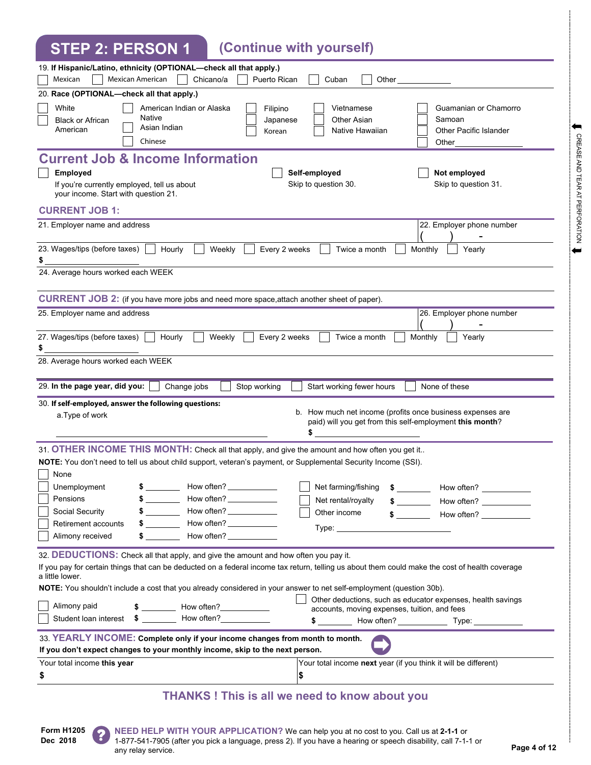**STEP 2: PERSON 1 (Continue with yourself)**

| UILI AII LIVUUI I                                                                                                                                                                                                                                                                                                                                                                 |                                                                                                                              |
|-----------------------------------------------------------------------------------------------------------------------------------------------------------------------------------------------------------------------------------------------------------------------------------------------------------------------------------------------------------------------------------|------------------------------------------------------------------------------------------------------------------------------|
| 19. If Hispanic/Latino, ethnicity (OPTIONAL-check all that apply.)<br>Mexican<br>Mexican American<br>Chicano/a<br>Puerto Rican                                                                                                                                                                                                                                                    | Cuban<br>Other                                                                                                               |
| 20. Race (OPTIONAL-check all that apply.)                                                                                                                                                                                                                                                                                                                                         |                                                                                                                              |
| White<br>American Indian or Alaska<br>Filipino<br><b>Native</b><br><b>Black or African</b><br>Japanese<br>Asian Indian<br>American<br>Korean<br>Chinese                                                                                                                                                                                                                           | Vietnamese<br>Guamanian or Chamorro<br>Other Asian<br>Samoan<br>Native Hawaiian<br>Other Pacific Islander<br>Other           |
| <b>Current Job &amp; Income Information</b><br>Employed<br>If you're currently employed, tell us about<br>your income. Start with question 21.                                                                                                                                                                                                                                    | Not employed<br>Self-employed<br>Skip to question 30.<br>Skip to question 31.                                                |
| <b>CURRENT JOB 1:</b>                                                                                                                                                                                                                                                                                                                                                             |                                                                                                                              |
| 21. Employer name and address                                                                                                                                                                                                                                                                                                                                                     | 22. Employer phone number                                                                                                    |
| 23. Wages/tips (before taxes)<br>Hourly<br>Weekly<br>Every 2 weeks<br>24. Average hours worked each WEEK                                                                                                                                                                                                                                                                          | Twice a month<br>Monthly<br>Yearly                                                                                           |
|                                                                                                                                                                                                                                                                                                                                                                                   |                                                                                                                              |
| CURRENT JOB 2: (if you have more jobs and need more space, attach another sheet of paper).                                                                                                                                                                                                                                                                                        |                                                                                                                              |
| 25. Employer name and address                                                                                                                                                                                                                                                                                                                                                     | 26. Employer phone number                                                                                                    |
| 27. Wages/tips (before taxes)<br>Hourly<br>Weekly<br>Every 2 weeks<br>\$                                                                                                                                                                                                                                                                                                          | Twice a month<br>Monthly<br>Yearly                                                                                           |
| 28. Average hours worked each WEEK                                                                                                                                                                                                                                                                                                                                                |                                                                                                                              |
| 29. In the page year, did you:<br>Stop working<br>Change jobs                                                                                                                                                                                                                                                                                                                     | Start working fewer hours<br>None of these                                                                                   |
| 30. If self-employed, answer the following questions:<br>a. Type of work                                                                                                                                                                                                                                                                                                          | b. How much net income (profits once business expenses are<br>paid) will you get from this self-employment this month?<br>\$ |
| 31. OTHER INCOME THIS MONTH: Check all that apply, and give the amount and how often you get it                                                                                                                                                                                                                                                                                   |                                                                                                                              |
| NOTE: You don't need to tell us about child support, veteran's payment, or Supplemental Security Income (SSI).                                                                                                                                                                                                                                                                    |                                                                                                                              |
| None<br>How often?<br>Unemployment                                                                                                                                                                                                                                                                                                                                                | Net farming/fishing<br>How often?<br>$\sim$ 5                                                                                |
| How often? $\frac{\qquad \qquad }{\qquad \qquad }$<br>Pensions<br>$\frac{1}{2}$ and $\frac{1}{2}$ and $\frac{1}{2}$<br>How often?<br>Social Security                                                                                                                                                                                                                              | Net rental/royalty<br>How often? ____________<br>$\frac{1}{\sqrt{2}}$<br>Other income<br>$\sim$<br>How often?                |
| How often? _____________<br>Retirement accounts<br>$\sim$                                                                                                                                                                                                                                                                                                                         |                                                                                                                              |
| How often? ____________<br>$\sim$<br>Alimony received                                                                                                                                                                                                                                                                                                                             |                                                                                                                              |
| 32. DEDUCTIONS: Check all that apply, and give the amount and how often you pay it.<br>If you pay for certain things that can be deducted on a federal income tax return, telling us about them could make the cost of health coverage<br>a little lower.<br>NOTE: You shouldn't include a cost that you already considered in your answer to net self-employment (question 30b). |                                                                                                                              |
| Alimony paid<br>Student loan interest \$ ___________ How often?                                                                                                                                                                                                                                                                                                                   | Other deductions, such as educator expenses, health savings<br>accounts, moving expenses, tuition, and fees                  |
|                                                                                                                                                                                                                                                                                                                                                                                   | \$ How often?<br>Type: Type:                                                                                                 |
| 33. YEARLY INCOME: Complete only if your income changes from month to month.<br>If you don't expect changes to your monthly income, skip to the next person.                                                                                                                                                                                                                      |                                                                                                                              |
| Your total income this year                                                                                                                                                                                                                                                                                                                                                       | Your total income next year (if you think it will be different)                                                              |
| \$                                                                                                                                                                                                                                                                                                                                                                                | \$                                                                                                                           |
| <b>THANKS! This is all we need to know about you</b>                                                                                                                                                                                                                                                                                                                              |                                                                                                                              |

**Form H1205 Dec 2018**

 $\leftarrow$ 

CREASE AND TEAR AT PERFORATION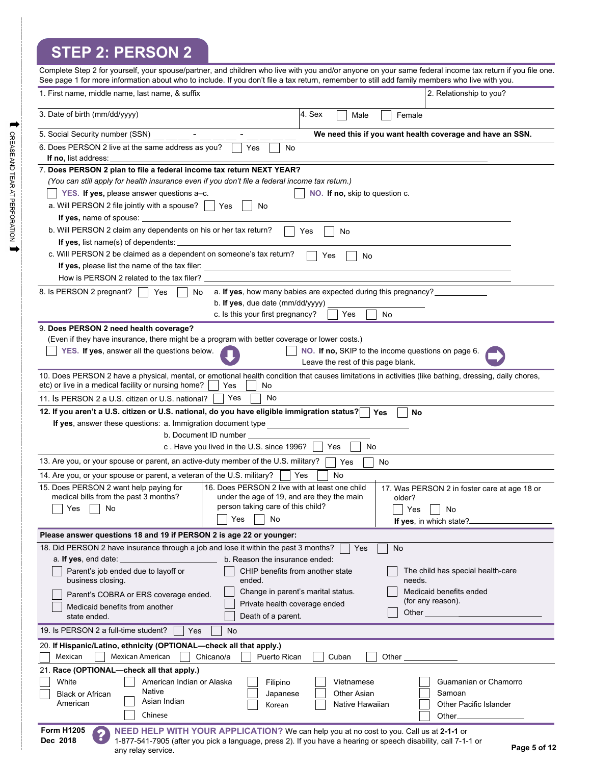# **STEP 2: PERSON 2**

|                                                                                                   | Complete Step 2 for yourself, your spouse/partner, and children who live with you and/or anyone on your same federal income tax return if you file one.<br>See page 1 for more information about who to include. If you don't file a tax return, remember to still add family members who live with you. |
|---------------------------------------------------------------------------------------------------|----------------------------------------------------------------------------------------------------------------------------------------------------------------------------------------------------------------------------------------------------------------------------------------------------------|
| 1. First name, middle name, last name, & suffix                                                   | 2. Relationship to you?                                                                                                                                                                                                                                                                                  |
| 3. Date of birth (mm/dd/yyyy)                                                                     | 4. Sex<br>Male<br>Female                                                                                                                                                                                                                                                                                 |
| 5. Social Security number (SSN)                                                                   | We need this if you want health coverage and have an SSN.                                                                                                                                                                                                                                                |
| 6. Does PERSON 2 live at the same address as you?<br>If no, list address:                         | Yes<br>No                                                                                                                                                                                                                                                                                                |
| 7. Does PERSON 2 plan to file a federal income tax return NEXT YEAR?                              |                                                                                                                                                                                                                                                                                                          |
|                                                                                                   | (You can still apply for health insurance even if you don't file a federal income tax return.)                                                                                                                                                                                                           |
| YES. If yes, please answer questions a-c.                                                         | NO. If no, skip to question c.                                                                                                                                                                                                                                                                           |
| a. Will PERSON 2 file jointly with a spouse? $\vert \vert$ Yes                                    | No                                                                                                                                                                                                                                                                                                       |
| If yes, name of spouse:                                                                           |                                                                                                                                                                                                                                                                                                          |
| b. Will PERSON 2 claim any dependents on his or her tax return?                                   | Yes<br>No                                                                                                                                                                                                                                                                                                |
| If yes, list name(s) of dependents:                                                               |                                                                                                                                                                                                                                                                                                          |
| c. Will PERSON 2 be claimed as a dependent on someone's tax return?                               | Yes<br>No                                                                                                                                                                                                                                                                                                |
| <b>If yes, please list the name of the tax filer:</b> _________________________________           |                                                                                                                                                                                                                                                                                                          |
| How is PERSON 2 related to the tax filer?                                                         |                                                                                                                                                                                                                                                                                                          |
| 8. Is PERSON 2 pregnant?<br>Yes                                                                   | a. If yes, how many babies are expected during this pregnancy?<br>No.<br>b. If yes, due date $(mm/dd/yyyy)$                                                                                                                                                                                              |
|                                                                                                   | c. Is this your first pregnancy?<br>Yes<br>No                                                                                                                                                                                                                                                            |
| 9. Does PERSON 2 need health coverage?                                                            |                                                                                                                                                                                                                                                                                                          |
|                                                                                                   | (Even if they have insurance, there might be a program with better coverage or lower costs.)                                                                                                                                                                                                             |
| YES. If yes, answer all the questions below.                                                      | NO. If no, SKIP to the income questions on page 6.                                                                                                                                                                                                                                                       |
|                                                                                                   | Leave the rest of this page blank.                                                                                                                                                                                                                                                                       |
| etc) or live in a medical facility or nursing home?                                               | 10. Does PERSON 2 have a physical, mental, or emotional health condition that causes limitations in activities (like bathing, dressing, daily chores,<br>Yes<br>No                                                                                                                                       |
| 11. Is PERSON 2 a U.S. citizen or U.S. national?                                                  | Yes<br>No                                                                                                                                                                                                                                                                                                |
|                                                                                                   | 12. If you aren't a U.S. citizen or U.S. national, do you have eligible immigration status?<br>Yes<br>No                                                                                                                                                                                                 |
| If yes, answer these questions: a. Immigration document type                                      |                                                                                                                                                                                                                                                                                                          |
|                                                                                                   | b. Document ID number                                                                                                                                                                                                                                                                                    |
|                                                                                                   | c. Have you lived in the U.S. since 1996?<br>No<br>Yes                                                                                                                                                                                                                                                   |
| 13. Are you, or your spouse or parent, an active-duty member of the U.S. military?                | Yes<br>No                                                                                                                                                                                                                                                                                                |
| 14. Are you, or your spouse or parent, a veteran of the U.S. military?                            | <b>No</b><br>Yes                                                                                                                                                                                                                                                                                         |
| 15. Does PERSON 2 want help paying for<br>medical bills from the past 3 months?                   | 16. Does PERSON 2 live with at least one child<br>17. Was PERSON 2 in foster care at age 18 or                                                                                                                                                                                                           |
| No<br>Yes                                                                                         | under the age of 19, and are they the main<br>older?<br>person taking care of this child?<br>Yes<br>No                                                                                                                                                                                                   |
|                                                                                                   | Yes<br>No<br>If yes, in which state?                                                                                                                                                                                                                                                                     |
| Please answer questions 18 and 19 if PERSON 2 is age 22 or younger:                               |                                                                                                                                                                                                                                                                                                          |
| 18. Did PERSON 2 have insurance through a job and lose it within the past 3 months?               | Yes<br>No                                                                                                                                                                                                                                                                                                |
| a. If yes, end date:                                                                              | b. Reason the insurance ended:                                                                                                                                                                                                                                                                           |
| Parent's job ended due to layoff or<br>business closing.                                          | CHIP benefits from another state<br>The child has special health-care<br>ended.<br>needs.                                                                                                                                                                                                                |
| Parent's COBRA or ERS coverage ended.                                                             | Medicaid benefits ended<br>Change in parent's marital status.                                                                                                                                                                                                                                            |
| Medicaid benefits from another<br>state ended.                                                    | (for any reason).<br>Private health coverage ended<br>Other<br>Death of a parent.                                                                                                                                                                                                                        |
| 19. Is PERSON 2 a full-time student?<br>Yes                                                       | No                                                                                                                                                                                                                                                                                                       |
| 20. If Hispanic/Latino, ethnicity (OPTIONAL-check all that apply.)<br>Mexican<br>Mexican American | Puerto Rican<br>Other<br>Chicano/a<br>Cuban                                                                                                                                                                                                                                                              |
| 21. Race (OPTIONAL-check all that apply.)                                                         |                                                                                                                                                                                                                                                                                                          |
| White<br>American Indian or Alaska                                                                | Guamanian or Chamorro<br>Filipino<br>Vietnamese                                                                                                                                                                                                                                                          |
| Native<br><b>Black or African</b>                                                                 | <b>Other Asian</b><br>Samoan<br>Japanese                                                                                                                                                                                                                                                                 |
| Asian Indian<br>American                                                                          | Other Pacific Islander<br>Native Hawaiian<br>Korean                                                                                                                                                                                                                                                      |
| Chinese                                                                                           | Other.                                                                                                                                                                                                                                                                                                   |
| <b>Form H1205</b><br>2<br>Dec 2018<br>any relay service.                                          | NEED HELP WITH YOUR APPLICATION? We can help you at no cost to you. Call us at 2-1-1 or<br>1-877-541-7905 (after you pick a language, press 2). If you have a hearing or speech disability, call 7-1-1 or<br>Page 5 of 12                                                                                |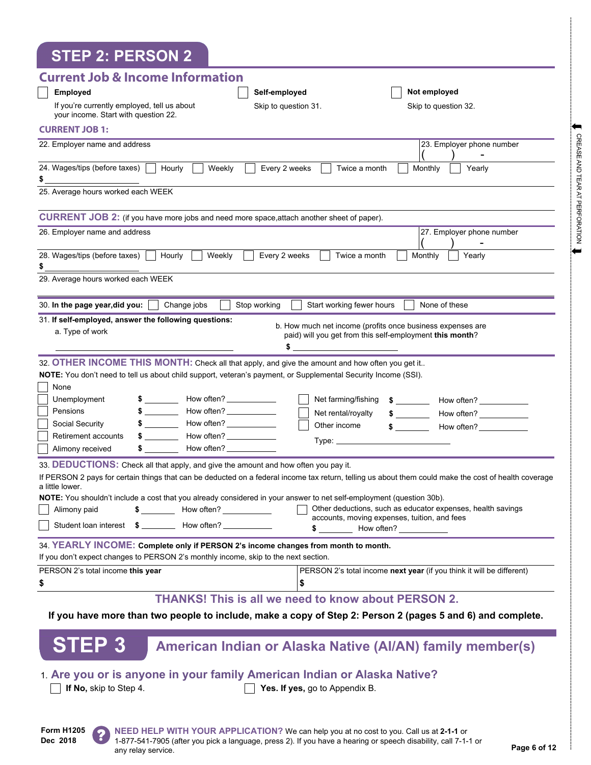| <b>STEP 2: PERSON 2</b>                                                                                                                                                  |
|--------------------------------------------------------------------------------------------------------------------------------------------------------------------------|
| <b>Current Job &amp; Income Information</b>                                                                                                                              |
| <b>Employed</b><br>Not employed<br>Self-employed                                                                                                                         |
| If you're currently employed, tell us about<br>Skip to question 31.<br>Skip to question 32.<br>your income. Start with question 22.                                      |
| <b>CURRENT JOB 1:</b>                                                                                                                                                    |
| 22. Employer name and address<br>23. Employer phone number                                                                                                               |
| 24. Wages/tips (before taxes)<br>Weekly<br>Every 2 weeks<br>Hourly<br>Twice a month<br>Monthly<br>Yearly<br>\$                                                           |
| 25. Average hours worked each WEEK                                                                                                                                       |
| CURRENT JOB 2: (if you have more jobs and need more space, attach another sheet of paper).                                                                               |
| 26. Employer name and address<br>27. Employer phone number                                                                                                               |
| 28. Wages/tips (before taxes)  <br>Weekly<br>Every 2 weeks<br>Hourly<br>Twice a month<br>Monthly<br>Yearly<br>\$                                                         |
| 29. Average hours worked each WEEK                                                                                                                                       |
| 30. In the page year, did you:<br>Change jobs<br>Stop working<br>Start working fewer hours<br>None of these                                                              |
| 31. If self-employed, answer the following questions:<br>b. How much net income (profits once business expenses are                                                      |
| a. Type of work<br>paid) will you get from this self-employment this month?<br>\$                                                                                        |
| 32. OTHER INCOME THIS MONTH: Check all that apply, and give the amount and how often you get it                                                                          |
| NOTE: You don't need to tell us about child support, veteran's payment, or Supplemental Security Income (SSI).                                                           |
| None                                                                                                                                                                     |
| Net farming/fishing<br>Unemployment<br>$$$ $$$ $$$                                                                                                                       |
| Pensions<br>$$\overline{\phantom{a}}$$<br>Net rental/royalty<br>How often? ____________                                                                                  |
| $$$ $$$ $$$<br>Social Security<br>Other income<br>$\frac{1}{2}$<br>How often?                                                                                            |
| $\frac{1}{2}$<br>How often?<br>Retirement accounts                                                                                                                       |
| How often?<br>Alimony received                                                                                                                                           |
| 33. DEDUCTIONS: Check all that apply, and give the amount and how often you pay it.                                                                                      |
| If PERSON 2 pays for certain things that can be deducted on a federal income tax return, telling us about them could make the cost of health coverage<br>a little lower. |
| <b>NOTE:</b> You shouldn't include a cost that you already considered in your answer to net self-employment (question 30b).                                              |
| Other deductions, such as educator expenses, health savings<br>$\frac{1}{2}$ How often?<br>Alimony paid<br>accounts, moving expenses, tuition, and fees                  |
| How often?<br>\$                                                                                                                                                         |
| 34. YEARLY INCOME: Complete only if PERSON 2's income changes from month to month.                                                                                       |
| If you don't expect changes to PERSON 2's monthly income, skip to the next section.                                                                                      |
| PERSON 2's total income this year<br>PERSON 2's total income next year (if you think it will be different)                                                               |
| \$<br>\$                                                                                                                                                                 |
| <b>THANKS! This is all we need to know about PERSON 2.</b><br>If you have more than two people to include, make a copy of Step 2: Person 2 (pages 5 and 6) and complete. |
|                                                                                                                                                                          |
| STEP <sub>3</sub><br>American Indian or Alaska Native (Al/AN) family member(s)                                                                                           |
| 1. Are you or is anyone in your family American Indian or Alaska Native?                                                                                                 |
| If No, skip to Step 4.<br>Yes. If yes, go to Appendix B.                                                                                                                 |

**Form H1205 Dec 2018**



**NEED HELP WITH YOUR APPLICATION?** We can help you at no cost to you. Call us at **2-1-1** or 1-877-541-7905 (after you pick a language, press 2). If you have a hearing or speech disability, call 7-1-1 or any relay service. **Page 6 of 12**<br>any relay service. CREASE AND TEAR AT PERFORATION

 $\leftarrow$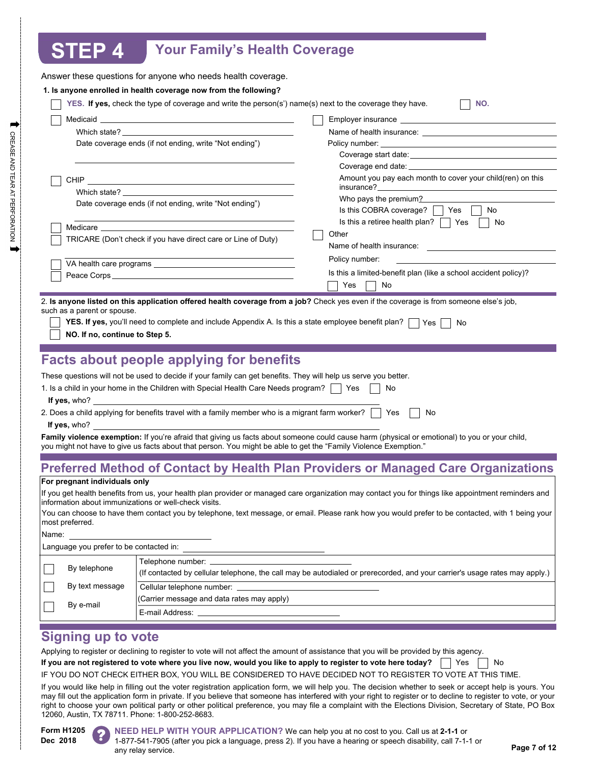# **STEP 4 Your Family's Health Coverage**

|                                                       | Answer these questions for anyone who needs health coverage.                                                                                                                                                                   |                                                                                                                                                                                                                                |
|-------------------------------------------------------|--------------------------------------------------------------------------------------------------------------------------------------------------------------------------------------------------------------------------------|--------------------------------------------------------------------------------------------------------------------------------------------------------------------------------------------------------------------------------|
|                                                       | 1. Is anyone enrolled in health coverage now from the following?                                                                                                                                                               |                                                                                                                                                                                                                                |
|                                                       | YES. If yes, check the type of coverage and write the person(s') name(s) next to the coverage they have.                                                                                                                       | NO.                                                                                                                                                                                                                            |
|                                                       |                                                                                                                                                                                                                                |                                                                                                                                                                                                                                |
|                                                       | Which state? The contract of the contract of the contract of the contract of the contract of the contract of the contract of the contract of the contract of the contract of the contract of the contract of the contract of t |                                                                                                                                                                                                                                |
|                                                       | Date coverage ends (if not ending, write "Not ending")                                                                                                                                                                         |                                                                                                                                                                                                                                |
|                                                       |                                                                                                                                                                                                                                | Coverage start date: Note: Note: Note: Note: Note: Note: Note: Note: Note: Note: Note: Note: Note: Note: Note: Note: Note: Note: Note: Note: Note: Note: Note: Note: Note: Note: Note: Note: Note: Note: Note: Note: Note: Not |
|                                                       |                                                                                                                                                                                                                                |                                                                                                                                                                                                                                |
|                                                       |                                                                                                                                                                                                                                | Amount you pay each month to cover your child(ren) on this                                                                                                                                                                     |
|                                                       | Which state? The contract of the contract of the contract of the contract of the contract of the contract of the contract of the contract of the contract of the contract of the contract of the contract of the contract of t |                                                                                                                                                                                                                                |
|                                                       | Date coverage ends (if not ending, write "Not ending")                                                                                                                                                                         | Who pays the premium?<br>Is this COBRA coverage? $\vert \vert$ Yes<br>No                                                                                                                                                       |
|                                                       |                                                                                                                                                                                                                                | Is this a retiree health plan? $\Box$ Yes<br>No                                                                                                                                                                                |
|                                                       | Medicare and the state of the state of the state of the state of the state of the state of the state of the state of the state of the state of the state of the state of the state of the state of the state of the state of t | Other                                                                                                                                                                                                                          |
|                                                       | TRICARE (Don't check if you have direct care or Line of Duty)                                                                                                                                                                  |                                                                                                                                                                                                                                |
|                                                       |                                                                                                                                                                                                                                | Policy number:                                                                                                                                                                                                                 |
|                                                       |                                                                                                                                                                                                                                | Is this a limited-benefit plan (like a school accident policy)?                                                                                                                                                                |
|                                                       |                                                                                                                                                                                                                                | Yes<br>No                                                                                                                                                                                                                      |
|                                                       |                                                                                                                                                                                                                                | 2. Is anyone listed on this application offered health coverage from a job? Check yes even if the coverage is from someone else's job,                                                                                         |
| NO. If no, continue to Step 5.                        | <b>YES. If yes, you'll need to complete and include Appendix A. Is this a state employee benefit plan?</b> $\Box$ Yes [                                                                                                        | No                                                                                                                                                                                                                             |
|                                                       | <b>Facts about people applying for benefits</b>                                                                                                                                                                                |                                                                                                                                                                                                                                |
|                                                       | These questions will not be used to decide if your family can get benefits. They will help us serve you better.                                                                                                                |                                                                                                                                                                                                                                |
|                                                       | 1. Is a child in your home in the Children with Special Health Care Needs program?     Yes                                                                                                                                     | No                                                                                                                                                                                                                             |
| If yes, who?                                          |                                                                                                                                                                                                                                |                                                                                                                                                                                                                                |
|                                                       | 2. Does a child applying for benefits travel with a family member who is a migrant farm worker?                                                                                                                                | Yes<br>No                                                                                                                                                                                                                      |
| <b>If yes,</b> who?                                   |                                                                                                                                                                                                                                |                                                                                                                                                                                                                                |
|                                                       | you might not have to give us facts about that person. You might be able to get the "Family Violence Exemption."                                                                                                               | Family violence exemption: If you're afraid that giving us facts about someone could cause harm (physical or emotional) to you or your child,                                                                                  |
|                                                       |                                                                                                                                                                                                                                | <b>Preferred Method of Contact by Health Plan Providers or Managed Care Organizations</b>                                                                                                                                      |
| For pregnant individuals only                         |                                                                                                                                                                                                                                |                                                                                                                                                                                                                                |
|                                                       |                                                                                                                                                                                                                                | If you get health benefits from us, your health plan provider or managed care organization may contact you for things like appointment reminders and                                                                           |
| information about immunizations or well-check visits. |                                                                                                                                                                                                                                |                                                                                                                                                                                                                                |
|                                                       |                                                                                                                                                                                                                                | You can choose to have them contact you by telephone, text message, or email. Please rank how you would prefer to be contacted, with 1 being your                                                                              |
| most preferred.                                       |                                                                                                                                                                                                                                |                                                                                                                                                                                                                                |
| Name:                                                 |                                                                                                                                                                                                                                |                                                                                                                                                                                                                                |
| Language you prefer to be contacted in:               |                                                                                                                                                                                                                                |                                                                                                                                                                                                                                |
| By telephone                                          | Telephone number: _____                                                                                                                                                                                                        | (If contacted by cellular telephone, the call may be autodialed or prerecorded, and your carrier's usage rates may apply.)                                                                                                     |
| By text message                                       | Cellular telephone number: _                                                                                                                                                                                                   |                                                                                                                                                                                                                                |
| By e-mail                                             | (Carrier message and data rates may apply)                                                                                                                                                                                     |                                                                                                                                                                                                                                |
|                                                       | E-mail Address:                                                                                                                                                                                                                |                                                                                                                                                                                                                                |
|                                                       |                                                                                                                                                                                                                                |                                                                                                                                                                                                                                |
| <b>Signing up to vote</b>                             |                                                                                                                                                                                                                                |                                                                                                                                                                                                                                |

Applying to register or declining to register to vote will not affect the amount of assistance that you will be provided by this agency.

If you are not registered to vote where you live now, would you like to apply to register to vote here today?  $\,$   $\,$   $\,$   $\,$  Yes  $\,$   $\,$   $\,$   $\,$  No  $\,$ 

IF YOU DO NOT CHECK EITHER BOX, YOU WILL BE CONSIDERED TO HAVE DECIDED NOT TO REGISTER TO VOTE AT THIS TIME.

If you would like help in filling out the voter registration application form, we will help you. The decision whether to seek or accept help is yours. You may fill out the application form in private. If you believe that someone has interfered with your right to register or to decline to register to vote, or your right to choose your own political party or other political preference, you may file a complaint with the Elections Division, Secretary of State, PO Box 12060, Austin, TX 78711. Phone: 1-800-252-8683.

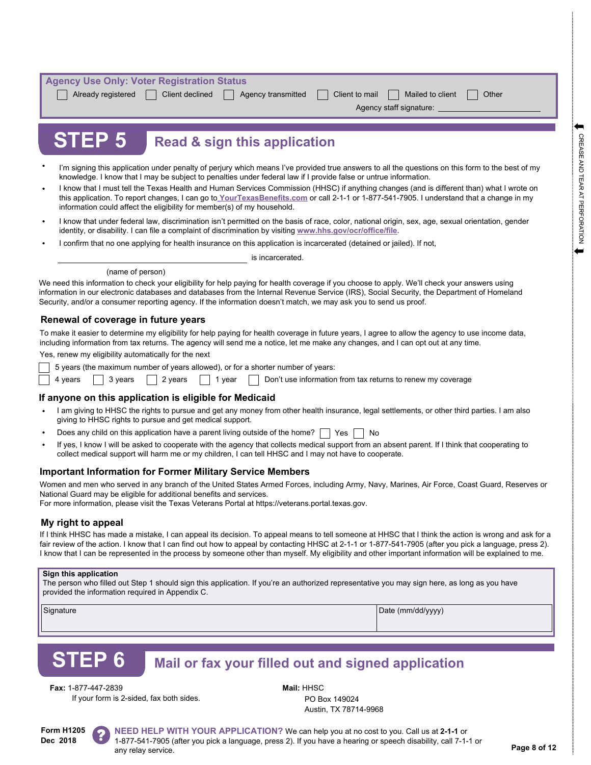| <b>Agency Use Only: Voter Registration Status</b> |                    |                |                         |       |  |  |  |
|---------------------------------------------------|--------------------|----------------|-------------------------|-------|--|--|--|
| Already registered<br>  Client declined           | Agency transmitted | Client to mail | Mailed to client        | Other |  |  |  |
|                                                   |                    |                | Agency staff signature: |       |  |  |  |
|                                                   |                    |                |                         |       |  |  |  |
|                                                   |                    |                |                         |       |  |  |  |

## **Read & sign this application**

- I'm signing this application under penalty of perjury which means I've provided true answers to all the questions on this form to the best of my knowledge. I know that I may be subject to penalties under federal law if I provide false or untrue information.
- I know that I must tell the Texas Health and Human Services Commission (HHSC) if anything changes (and is different than) what I wrote on this application. To report changes, I can go t[o](https://yourtexasbenefits.com/Learn/Home) **[YourTexasBenefits.com](https://yourtexasbenefits.com/Learn/Home)** or call 2-1-1 or 1-877-541-7905. I understand that a change in my information could affect the eligibility for member(s) of my household. •
- I know that under federal law, discrimination isn't permitted on the basis of race, color, national origin, sex, age, sexual orientation, gender identity, or disability. I can file a complaint of discrimination by visiting **[www.hhs.gov/ocr/office/file.](https://www.hhs.gov/ocr/complaints/index.html)** •
- I confirm that no one applying for health insurance on this application is incarcerated (detained or jailed). If not,

is incarcerated.

#### (name of person)

We need this information to check your eligibility for help paying for health coverage if you choose to apply. We'll check your answers using information in our electronic databases and databases from the Internal Revenue Service (IRS), Social Security, the Department of Homeland Security, and/or a consumer reporting agency. If the information doesn't match, we may ask you to send us proof.

### **Renewal of coverage in future years**

**STEP 5**

To make it easier to determine my eligibility for help paying for health coverage in future years, I agree to allow the agency to use income data, including information from tax returns. The agency will send me a notice, let me make any changes, and I can opt out at any time.

Yes, renew my eligibility automatically for the next

5 years (the maximum number of years allowed), or for a shorter number of years:

4 years  $\vert$  3 years  $\vert$  2 years  $\vert$  1 year Don't use information from tax returns to renew my coverage

### **If anyone on this application is eligible for Medicaid**

- I am giving to HHSC the rights to pursue and get any money from other health insurance, legal settlements, or other third parties. I am also giving to HHSC rights to pursue and get medical support. •
- | Yes | | No Does any child on this application have a parent living outside of the home?  $\lceil$ •
- If yes, I know I will be asked to cooperate with the agency that collects medical support from an absent parent. If I think that cooperating to collect medical support will harm me or my children, I can tell HHSC and I may not have to cooperate. •

### **Important Information for Former Military Service Members**

Women and men who served in any branch of the United States Armed Forces, including Army, Navy, Marines, Air Force, Coast Guard, Reserves or National Guard may be eligible for additional benefits and services.

For more information, please visit the Texas Veterans Portal at https://veterans.portal.texas.gov.

### **My right to appeal**

If I think HHSC has made a mistake, I can appeal its decision. To appeal means to tell someone at HHSC that I think the action is wrong and ask for a fair review of the action. I know that I can find out how to appeal by contacting HHSC at 2-1-1 or 1-877-541-7905 (after you pick a language, press 2). I know that I can be represented in the process by someone other than myself. My eligibility and other important information will be explained to me.

#### **Sign this application**

The person who filled out Step 1 should sign this application. If you're an authorized representative you may sign here, as long as you have provided the information required in Appendix C.

Signature **Date (mm/dd/yyyy)** Date (mm/dd/yyyy)

# **STEP 6**

## **Mail or fax your filled out and signed application**

**Fax:** 1-877-447-2839 **Mail:** HHSC

If your form is 2-sided, fax both sides. PO Box 149024

Austin, TX 78714-9968

**Form H1205 Dec 2018**

**NEED HELP WITH YOUR APPLICATION?** We can help you at no cost to you. Call us at **2-1-1** or 1-877-541-7905 (after you pick a language, press 2). If you have a hearing or speech disability, call 7-1-1 or any relay service. **Page 8 of 12**<br>any relay service.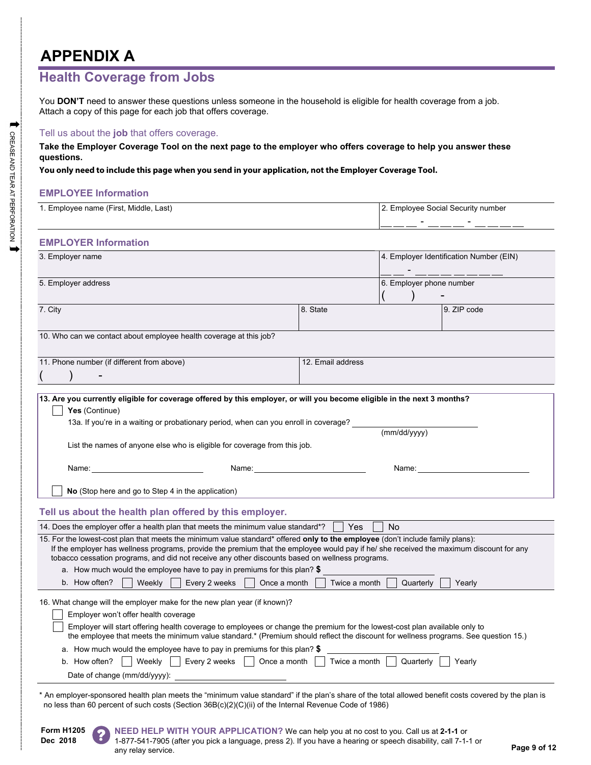# **APPENDIX A**

### **Health Coverage from Jobs**

You **DON'T** need to answer these questions unless someone in the household is eligible for health coverage from a job. Attach a copy of this page for each job that offers coverage.

### Tell us about the **job** that offers coverage.

**Take the Employer Coverage Tool on the next page to the employer who offers coverage to help you answer these questions.** 

### **You only need to include this page when you send in your application, not the Employer Coverage Tool.**

### **EMPLOYEE Information**

| 1. Employee name (First, Middle, Last)                                                                                                                                                                                                                                                                                                                                                                                                                                                                                |                   | 2. Employee Social Security number |                                         |  |
|-----------------------------------------------------------------------------------------------------------------------------------------------------------------------------------------------------------------------------------------------------------------------------------------------------------------------------------------------------------------------------------------------------------------------------------------------------------------------------------------------------------------------|-------------------|------------------------------------|-----------------------------------------|--|
| <b>EMPLOYER Information</b>                                                                                                                                                                                                                                                                                                                                                                                                                                                                                           |                   |                                    |                                         |  |
|                                                                                                                                                                                                                                                                                                                                                                                                                                                                                                                       |                   |                                    |                                         |  |
| 3. Employer name                                                                                                                                                                                                                                                                                                                                                                                                                                                                                                      |                   |                                    | 4. Employer Identification Number (EIN) |  |
| 5. Employer address                                                                                                                                                                                                                                                                                                                                                                                                                                                                                                   |                   | 6. Employer phone number           |                                         |  |
| 7. City                                                                                                                                                                                                                                                                                                                                                                                                                                                                                                               | 8. State          |                                    | 9. ZIP code                             |  |
| 10. Who can we contact about employee health coverage at this job?                                                                                                                                                                                                                                                                                                                                                                                                                                                    |                   |                                    |                                         |  |
|                                                                                                                                                                                                                                                                                                                                                                                                                                                                                                                       |                   |                                    |                                         |  |
| 11. Phone number (if different from above)                                                                                                                                                                                                                                                                                                                                                                                                                                                                            | 12. Email address |                                    |                                         |  |
|                                                                                                                                                                                                                                                                                                                                                                                                                                                                                                                       |                   |                                    |                                         |  |
| 13. Are you currently eligible for coverage offered by this employer, or will you become eligible in the next 3 months?<br>Yes (Continue)<br>13a. If you're in a waiting or probationary period, when can you enroll in coverage?<br>List the names of anyone else who is eligible for coverage from this job.                                                                                                                                                                                                        |                   | (mm/dd/yyyy)                       |                                         |  |
| Name: Name and the state of the state of the state of the state of the state of the state of the state of the state of the state of the state of the state of the state of the state of the state of the state of the state of<br>Name: and the contract of the contract of the contract of the contract of the contract of the contract of the contract of the contract of the contract of the contract of the contract of the contract of the contract of the                                                       |                   | Name:                              |                                         |  |
| No (Stop here and go to Step 4 in the application)                                                                                                                                                                                                                                                                                                                                                                                                                                                                    |                   |                                    |                                         |  |
| Tell us about the health plan offered by this employer.                                                                                                                                                                                                                                                                                                                                                                                                                                                               |                   |                                    |                                         |  |
| 14. Does the employer offer a health plan that meets the minimum value standard*?                                                                                                                                                                                                                                                                                                                                                                                                                                     | Yes               | <b>No</b>                          |                                         |  |
| 15. For the lowest-cost plan that meets the minimum value standard* offered only to the employee (don't include family plans):<br>If the employer has wellness programs, provide the premium that the employee would pay if he/ she received the maximum discount for any<br>tobacco cessation programs, and did not receive any other discounts based on wellness programs.<br>a. How much would the employee have to pay in premiums for this plan? $$$<br>b. How often?<br>Weekly<br>Every 2 weeks<br>Once a month | Twice a month     | Quarterly                          | Yearly                                  |  |
| 16. What change will the employer make for the new plan year (if known)?                                                                                                                                                                                                                                                                                                                                                                                                                                              |                   |                                    |                                         |  |
| Employer won't offer health coverage                                                                                                                                                                                                                                                                                                                                                                                                                                                                                  |                   |                                    |                                         |  |
| Employer will start offering health coverage to employees or change the premium for the lowest-cost plan available only to<br>the employee that meets the minimum value standard.* (Premium should reflect the discount for wellness programs. See question 15.)                                                                                                                                                                                                                                                      |                   |                                    |                                         |  |
| a. How much would the employee have to pay in premiums for this plan? $$$                                                                                                                                                                                                                                                                                                                                                                                                                                             |                   |                                    |                                         |  |
| Every 2 weeks     Once a month  <br>b. How often?<br>Weekly                                                                                                                                                                                                                                                                                                                                                                                                                                                           | Twice a month     | Quarterly                          | Yearly                                  |  |
| Date of change (mm/dd/yyyy):                                                                                                                                                                                                                                                                                                                                                                                                                                                                                          |                   |                                    |                                         |  |
| * An employer-sponsored health plan meets the "minimum value standard" if the plan's share of the total allowed benefit costs covered by the plan is<br>no less than 60 percent of such costs (Section 36B(c)(2)(C)(ii) of the Internal Revenue Code of 1986)                                                                                                                                                                                                                                                         |                   |                                    |                                         |  |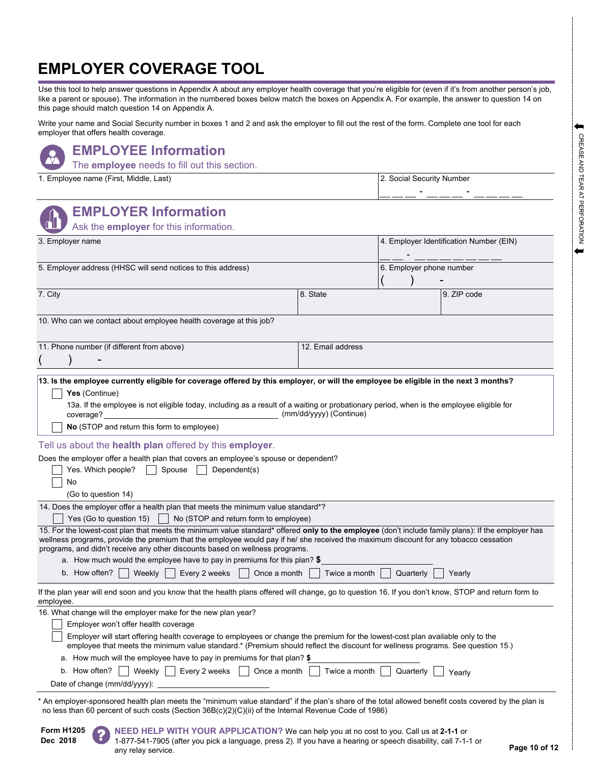# **EMPLOYER COVERAGE TOOL**

Use this tool to help answer questions in Appendix A about any employer health coverage that you're eligible for (even if it's from another person's job, like a parent or spouse). The information in the numbered boxes below match the boxes on Appendix A. For example, the answer to question 14 on this page should match question 14 on Appendix A.

Write your name and Social Security number in boxes 1 and 2 and ask the employer to fill out the rest of the form. Complete one tool for each employer that offers health coverage.

### **EMPLOYEE Information**

The **employee** needs to fill out this section.

1. Employee name (First, Middle, Last) 2. Social Security Number

| <b>EMPLOYER Information</b><br>Ask the employer for this information.                                                                                                                                                                                                                                                                                                                                                                                                                                                                                                                                                                                                                                                                                                           |                         |                                         |             |  |
|---------------------------------------------------------------------------------------------------------------------------------------------------------------------------------------------------------------------------------------------------------------------------------------------------------------------------------------------------------------------------------------------------------------------------------------------------------------------------------------------------------------------------------------------------------------------------------------------------------------------------------------------------------------------------------------------------------------------------------------------------------------------------------|-------------------------|-----------------------------------------|-------------|--|
| 3. Employer name                                                                                                                                                                                                                                                                                                                                                                                                                                                                                                                                                                                                                                                                                                                                                                |                         | 4. Employer Identification Number (EIN) |             |  |
| 5. Employer address (HHSC will send notices to this address)                                                                                                                                                                                                                                                                                                                                                                                                                                                                                                                                                                                                                                                                                                                    |                         | 6. Employer phone number                |             |  |
| 7. City                                                                                                                                                                                                                                                                                                                                                                                                                                                                                                                                                                                                                                                                                                                                                                         | 8. State                |                                         | 9. ZIP code |  |
| 10. Who can we contact about employee health coverage at this job?                                                                                                                                                                                                                                                                                                                                                                                                                                                                                                                                                                                                                                                                                                              |                         |                                         |             |  |
| 11. Phone number (if different from above)                                                                                                                                                                                                                                                                                                                                                                                                                                                                                                                                                                                                                                                                                                                                      | 12. Email address       |                                         |             |  |
| Yes (Continue)<br>13a. If the employee is not eligible today, including as a result of a waiting or probationary period, when is the employee eligible for<br>coverage?<br><u> 1980 - Johann Barbara, martxa alemaniar a</u><br>No (STOP and return this form to employee)<br>Tell us about the health plan offered by this employer.<br>Does the employer offer a health plan that covers an employee's spouse or dependent?<br>Yes. Which people?<br>Spouse<br>Dependent(s)<br>No<br>(Go to question 14)                                                                                                                                                                                                                                                                      | (mm/dd/yyyy) (Continue) |                                         |             |  |
| 14. Does the employer offer a health plan that meets the minimum value standard*?<br>Yes (Go to question 15)<br>No (STOP and return form to employee)<br>15. For the lowest-cost plan that meets the minimum value standard* offered only to the employee (don't include family plans): If the employer has<br>wellness programs, provide the premium that the employee would pay if he/ she received the maximum discount for any tobacco cessation<br>programs, and didn't receive any other discounts based on wellness programs.<br>a. How much would the employee have to pay in premiums for this plan? $$$<br>Once a month<br>b. How often? $ $<br>Weekly  <br>Every 2 weeks                                                                                             | Twice a month           | Quarterly                               | Yearly      |  |
| If the plan year will end soon and you know that the health plans offered will change, go to question 16. If you don't know, STOP and return form to<br>employee.<br>16. What change will the employer make for the new plan year?<br>Employer won't offer health coverage<br>Employer will start offering health coverage to employees or change the premium for the lowest-cost plan available only to the<br>employee that meets the minimum value standard.* (Premium should reflect the discount for wellness programs. See question 15.)<br>a. How much will the employee have to pay in premiums for that plan? $$$<br>Once a month<br>Weekly $\vert$   Every 2 weeks $\vert$  <br>Twice a month<br>b. How often?<br>Quarterly<br>Yearly<br>Date of change (mm/dd/yyyy): |                         |                                         |             |  |
| An employer-sponsored health plan meets the "minimum value standard" if the plan's share of the total allowed benefit costs covered by the plan is<br>no less than 60 percent of such costs (Section 36B(c)(2)(C)(ii) of the Internal Revenue Code of 1986)                                                                                                                                                                                                                                                                                                                                                                                                                                                                                                                     |                         |                                         |             |  |

**Form H1205 Dec 2018**

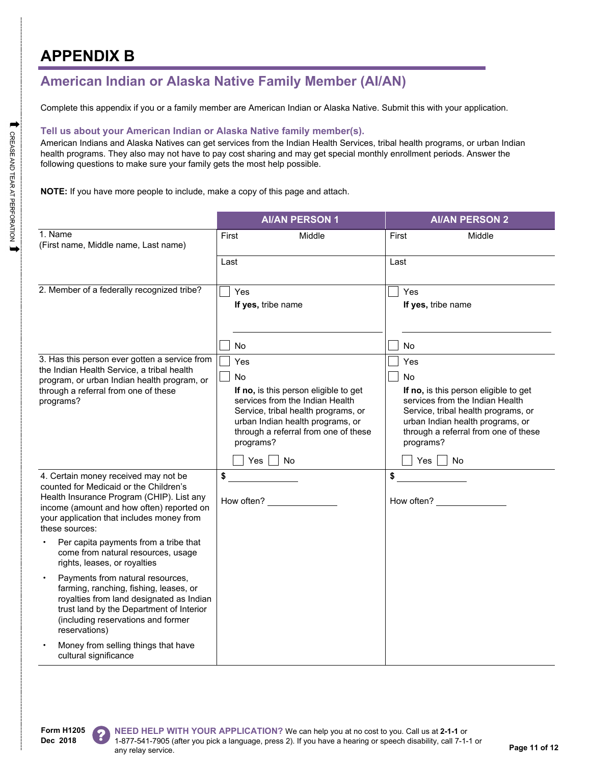# **APPENDIX B**

## **American Indian or Alaska Native Family Member (AI/AN)**

Complete this appendix if you or a family member are American Indian or Alaska Native. Submit this with your application.

### **Tell us about your American Indian or Alaska Native family member(s).**

American Indians and Alaska Natives can get services from the Indian Health Services, tribal health programs, or urban Indian health programs. They also may not have to pay cost sharing and may get special monthly enrollment periods. Answer the following questions to make sure your family gets the most help possible.

**NOTE:** If you have more people to include, make a copy of this page and attach.

|                                                                                                                                                                                                                                         | <b>AI/AN PERSON 1</b>                                                                                                                                                                                                                              | <b>AI/AN PERSON 2</b>                                                                                                                                                                                                                              |  |
|-----------------------------------------------------------------------------------------------------------------------------------------------------------------------------------------------------------------------------------------|----------------------------------------------------------------------------------------------------------------------------------------------------------------------------------------------------------------------------------------------------|----------------------------------------------------------------------------------------------------------------------------------------------------------------------------------------------------------------------------------------------------|--|
| 1. Name<br>(First name, Middle name, Last name)                                                                                                                                                                                         | First<br>Middle                                                                                                                                                                                                                                    | First<br>Middle                                                                                                                                                                                                                                    |  |
|                                                                                                                                                                                                                                         | Last                                                                                                                                                                                                                                               | Last                                                                                                                                                                                                                                               |  |
| 2. Member of a federally recognized tribe?                                                                                                                                                                                              | Yes<br>If yes, tribe name                                                                                                                                                                                                                          | Yes<br>If yes, tribe name                                                                                                                                                                                                                          |  |
| 3. Has this person ever gotten a service from<br>the Indian Health Service, a tribal health<br>program, or urban Indian health program, or<br>through a referral from one of these<br>programs?                                         | No.<br>Yes<br>No<br>If no, is this person eligible to get<br>services from the Indian Health<br>Service, tribal health programs, or<br>urban Indian health programs, or<br>through a referral from one of these<br>programs?<br>$Yes \mid \mid No$ | No.<br>Yes<br>No<br>If no, is this person eligible to get<br>services from the Indian Health<br>Service, tribal health programs, or<br>urban Indian health programs, or<br>through a referral from one of these<br>programs?<br>$Yes \mid \mid No$ |  |
| 4. Certain money received may not be<br>counted for Medicaid or the Children's<br>Health Insurance Program (CHIP). List any<br>income (amount and how often) reported on<br>your application that includes money from<br>these sources: | \$<br>How often?                                                                                                                                                                                                                                   | \$<br>How often? ______________                                                                                                                                                                                                                    |  |
| Per capita payments from a tribe that<br>come from natural resources, usage<br>rights, leases, or royalties                                                                                                                             |                                                                                                                                                                                                                                                    |                                                                                                                                                                                                                                                    |  |
| Payments from natural resources,<br>farming, ranching, fishing, leases, or<br>royalties from land designated as Indian<br>trust land by the Department of Interior<br>(including reservations and former<br>reservations)               |                                                                                                                                                                                                                                                    |                                                                                                                                                                                                                                                    |  |
| Money from selling things that have<br>cultural significance                                                                                                                                                                            |                                                                                                                                                                                                                                                    |                                                                                                                                                                                                                                                    |  |

**Form H1205 Dec 2018**



**NEED HELP WITH YOUR APPLICATION?** We can help you at no cost to you. Call us at **2-1-1** or 1-877-541-7905 (after you pick a language, press 2). If you have a hearing or speech disability, call 7-1-1 or any relay service.<br> **Page 11 of 12**<br> **Page 11 of 12**